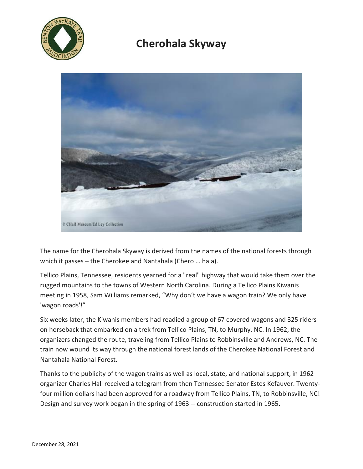

## **Cherohala Skyway**



The name for the Cherohala Skyway is derived from the names of the national forests through which it passes – the Cherokee and Nantahala (Chero … hala).

Tellico Plains, Tennessee, residents yearned for a "real" highway that would take them over the rugged mountains to the towns of Western North Carolina. During a Tellico Plains Kiwanis meeting in 1958, Sam Williams remarked, "Why don't we have a wagon train? We only have 'wagon roads'!"

Six weeks later, the Kiwanis members had readied a group of 67 covered wagons and 325 riders on horseback that embarked on a trek from Tellico Plains, TN, to Murphy, NC. In 1962, the organizers changed the route, traveling from Tellico Plains to Robbinsville and Andrews, NC. The train now wound its way through the national forest lands of the Cherokee National Forest and Nantahala National Forest.

Thanks to the publicity of the wagon trains as well as local, state, and national support, in 1962 organizer Charles Hall received a telegram from then Tennessee Senator Estes Kefauver. Twentyfour million dollars had been approved for a roadway from Tellico Plains, TN, to Robbinsville, NC! Design and survey work began in the spring of 1963 -- construction started in 1965.